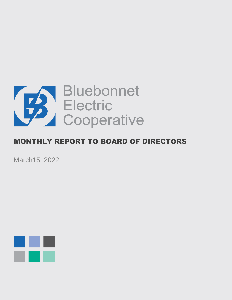

# MONTHLY REPORT TO BOARD OF DIRECTORS

March15, 2022

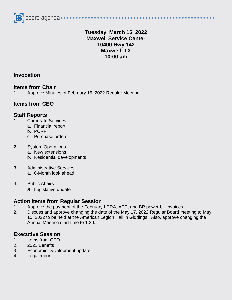

### **Tuesday, March 15, 2022 Maxwell Service Center 10400 Hwy 142 Maxwell, TX 10:00 am**

### **Invocation**

#### **Items from Chair**

1. Approve Minutes of February 15, 2022 Regular Meeting

### **Items from CEO**

#### **Staff Reports**

- 1. Corporate Services
	- a. Financial report
	- b. PCRF
	- c. Purchase orders

#### 2. System Operations

- a. New extensions
- b. Residential developments
- 3. Administrative Services
	- a. 6-Month look ahead
- 4. Public Affairs
	- a. Legislative update

#### **Action Items from Regular Session**

- 1. Approve the payment of the February LCRA, AEP, and BP power bill invoices
- 2. Discuss and approve changing the date of the May 17, 2022 Regular Board meeting to May 10, 2022 to be held at the American Legion Hall in Giddings. Also, approve changing the Annual Meeting start time to 1:30.

## **Executive Session**

- 1. Items from CEO
- 2. 2021 Benefts
- 3. Economic Development update
- 4. Legal report